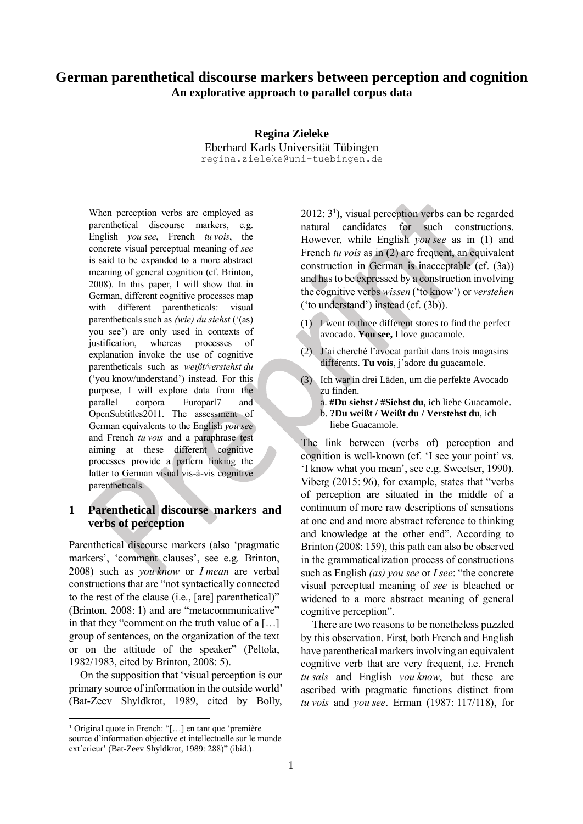# **German parenthetical discourse markers between perception and cognition An explorative approach to parallel corpus data**

**Regina Zieleke** Eberhard Karls Universität Tübingen regina.zieleke@uni-tuebingen.de

When perception verbs are employed as parenthetical discourse markers, e.g. English *you see*, French *tu vois*, the concrete visual perceptual meaning of *see* is said to be expanded to a more abstract meaning of general cognition (cf. Brinton, 2008). In this paper, I will show that in German, different cognitive processes map with different parentheticals: visual parentheticals such as *(wie) du siehst* ('(as) you see') are only used in contexts of justification, whereas processes of explanation invoke the use of cognitive parentheticals such as *weißt/verstehst du* ('you know/understand') instead. For this purpose, I will explore data from the parallel corpora Europarl7 and OpenSubtitles2011. The assessment of German equivalents to the English *you see* and French *tu vois* and a paraphrase test aiming at these different cognitive processes provide a pattern linking the latter to German visual vis-à-vis cognitive parentheticals.

# **1 Parenthetical discourse markers and verbs of perception**

Parenthetical discourse markers (also 'pragmatic markers', 'comment clauses', see e.g. Brinton, 2008) such as *you know* or *I mean* are verbal constructions that are "not syntactically connected to the rest of the clause (i.e., [are] parenthetical)" (Brinton, 2008: 1) and are "metacommunicative" in that they "comment on the truth value of a […] group of sentences, on the organization of the text or on the attitude of the speaker" (Peltola, 1982/1983, cited by Brinton, 2008: 5).

On the supposition that 'visual perception is our primary source of information in the outside world' (Bat-Zeev Shyldkrot, 1989, cited by Bolly, 2012: 3 1 ), visual perception verbs can be regarded natural candidates for such constructions. However, while English *you see* as in (1) and French *tu vois* as in (2) are frequent, an equivalent construction in German is inacceptable (cf. (3a)) and has to be expressed by a construction involving the cognitive verbs *wissen* ('to know') or *verstehen* ('to understand') instead (cf. (3b)).

- (1) I went to three different stores to find the perfect avocado. **You see,** I love guacamole.
- (2) J'ai cherché l'avocat parfait dans trois magasins différents. **Tu vois**, j'adore du guacamole.
- (3) Ich war in drei Läden, um die perfekte Avocado zu finden.
	- a. **#Du siehst / #Siehst du**, ich liebe Guacamole.
	- b. **?Du weißt / Weißt du / Verstehst du**, ich liebe Guacamole.

The link between (verbs of) perception and cognition is well-known (cf. 'I see your point' vs. 'I know what you mean', see e.g. Sweetser, 1990). Viberg (2015: 96), for example, states that "verbs of perception are situated in the middle of a continuum of more raw descriptions of sensations at one end and more abstract reference to thinking and knowledge at the other end". According to Brinton (2008: 159), this path can also be observed in the grammaticalization process of constructions such as English *(as) you see* or *I see*: "the concrete visual perceptual meaning of *see* is bleached or widened to a more abstract meaning of general cognitive perception".

There are two reasons to be nonetheless puzzled by this observation. First, both French and English have parenthetical markers involving an equivalent cognitive verb that are very frequent, i.e. French *tu sais* and English *you know*, but these are ascribed with pragmatic functions distinct from *tu vois* and *you see*. Erman (1987: 117/118), for

<sup>1</sup> Original quote in French: "[…] en tant que 'première source d'information objective et intellectuelle sur le monde ext´erieur' (Bat-Zeev Shyldkrot, 1989: 288)" (ibid.).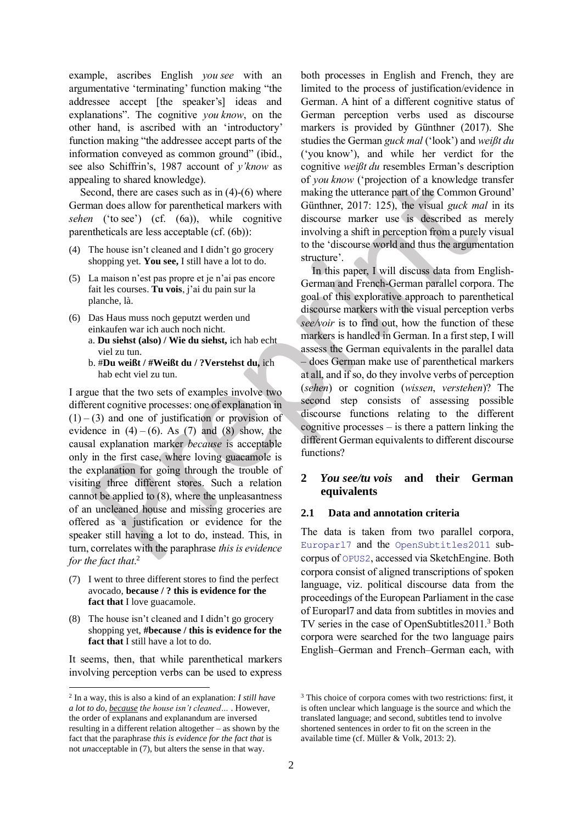example, ascribes English *you see* with an argumentative 'terminating' function making "the addressee accept [the speaker's] ideas and explanations". The cognitive *you know*, on the other hand, is ascribed with an 'introductory' function making "the addressee accept parts of the information conveyed as common ground" (ibid., see also Schiffrin's, 1987 account of *y'know* as appealing to shared knowledge).

Second, there are cases such as in  $(4)-(6)$  where German does allow for parenthetical markers with *sehen* ('to see') (cf. (6a)), while cognitive parentheticals are less acceptable (cf. (6b)):

- <span id="page-1-0"></span>(4) The house isn't cleaned and I didn't go grocery shopping yet. **You see,** I still have a lot to do.
- (5) La maison n'est pas propre et je n'ai pas encore fait les courses. **Tu vois**, j'ai du pain sur la planche, là.
- (6) Das Haus muss noch geputzt werden und einkaufen war ich auch noch nicht. a. **Du siehst (also) / Wie du siehst,** ich hab echt viel zu tun.
	- b. #**Du weißt / #Weißt du / ?Verstehst du,** ich hab echt viel zu tun.

I argue that the two sets of examples involve two different cognitive processes: one of explanation in  $(1) - (3)$  and one of justification or provision of evidence in  $(4) - (6)$ . As  $(7)$  and  $(8)$  show, the causal explanation marker *because* is acceptable only in the first case, where loving guacamole is the explanation for going through the trouble of visiting three different stores. Such a relation cannot be applied to (8), where the unpleasantness of an uncleaned house and missing groceries are offered as a justification or evidence for the speaker still having a lot to do, instead. This, in turn, correlates with the paraphrase *this is evidence for the fact that*. 2

- (7) I went to three different stores to find the perfect avocado, **because / ? this is evidence for the fact that** I love guacamole.
- (8) The house isn't cleaned and I didn't go grocery shopping yet, **#because / this is evidence for the fact that** I still have a lot to do.

It seems, then, that while parenthetical markers involving perception verbs can be used to express both processes in English and French, they are limited to the process of justification/evidence in German. A hint of a different cognitive status of German perception verbs used as discourse markers is provided by Günthner (2017). She studies the German *guck mal* ('look') and *weißt du* ('you know'), and while her verdict for the cognitive *weißt du* resembles Erman's description of *you know* ('projection of a knowledge transfer making the utterance part of the Common Ground' Günthner, 2017: 125), the visual *guck mal* in its discourse marker use is described as merely involving a shift in perception from a purely visual to the 'discourse world and thus the argumentation structure'.

In this paper, I will discuss data from English-German and French-German parallel corpora. The goal of this explorative approach to parenthetical discourse markers with the visual perception verbs *see/voir* is to find out, how the function of these markers is handled in German. In a first step, I will assess the German equivalents in the parallel data – does German make use of parenthetical markers at all, and if so, do they involve verbs of perception (*sehen*) or cognition (*wissen*, *verstehen*)? The second step consists of assessing possible discourse functions relating to the different cognitive processes – is there a pattern linking the different German equivalents to different discourse functions?

## **2** *You see/tu vois* **and their German equivalents**

### **2.1 Data and annotation criteria**

The data is taken from two parallel corpora, [Europarl7](https://www.sketchengine.eu/europarl-parallel-corpus/) and the [OpenSubtitles2011](http://www.opensubtitles.org/) subcorpus of [OPUS2](https://www.sketchengine.eu/opus-parallel-corpora/), accessed via SketchEngine. Both corpora consist of aligned transcriptions of spoken language, viz. political discourse data from the proceedings of the European Parliament in the case of Europarl7 and data from subtitles in movies and TV series in the case of OpenSubtitles2011.<sup>3</sup> Both corpora were searched for the two language pairs English–German and French–German each, with

<sup>2</sup> In a way, this is also a kind of an explanation: *I still have a lot to do, because the house isn't cleaned…* . However, the order of explanans and explanandum are inversed resulting in a different relation altogether – as shown by the fact that the paraphrase *this is evidence for the fact that* is not *un*acceptable in (7), but alters the sense in that way.

<sup>&</sup>lt;sup>3</sup> This choice of corpora comes with two restrictions: first, it is often unclear which language is the source and which the translated language; and second, subtitles tend to involve shortened sentences in order to fit on the screen in the available time (cf. Müller & Volk, 2013: 2).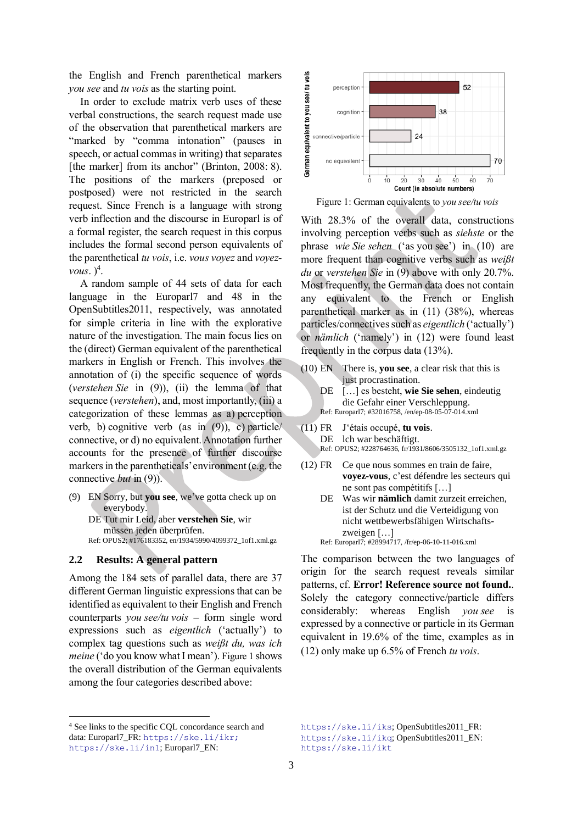the English and French parenthetical markers *you see* and *tu vois* as the starting point.

In order to exclude matrix verb uses of these verbal constructions, the search request made use of the observation that parenthetical markers are "marked by "comma intonation" (pauses in speech, or actual commas in writing) that separates [the marker] from its anchor" (Brinton, 2008: 8). The positions of the markers (preposed or postposed) were not restricted in the search request. Since French is a language with strong verb inflection and the discourse in Europarl is of a formal register, the search request in this corpus includes the formal second person equivalents of the parenthetical *tu vois*, i.e. *vous voyez* and *voyezvous.*  $)^4$ .

A random sample of 44 sets of data for each language in the Europarl7 and 48 in the OpenSubtitles2011, respectively, was annotated for simple criteria in line with the explorative nature of the investigation. The main focus lies on the (direct) German equivalent of the parenthetical markers in English or French. This involves the annotation of (i) the specific sequence of words (*verstehen Sie* in [\(9\)\)](#page-2-0), (ii) the lemma of that sequence (*verstehen*), and, most importantly, (iii) a categorization of these lemmas as a) perception verb, b) cognitive verb (as in  $(9)$ ), c) particle/ connective, or d) no equivalent. Annotation further accounts for the presence of further discourse markers in the parentheticals' environment (e.g. the connective *but* in [\(9\)\)](#page-2-0).

<span id="page-2-0"></span>(9) EN Sorry, but **you see**, we've gotta check up on everybody. DE Tut mir Leid, aber **verstehen Sie**, wir müssen jeden überprüfen. Ref: OPUS2; #176183352, en/1934/5990/4099372\_1of1.xml.gz

#### **2.2 Results: A general pattern**

Among the 184 sets of parallel data, there are 37 different German linguistic expressions that can be identified as equivalent to their English and French counterparts *you see/tu vois* – form single word expressions such as *eigentlich* ('actually') to complex tag questions such as *weißt du, was ich meine* ('do you know what I mean'). [Figure 1](#page-2-1) shows the overall distribution of the German equivalents among the four categories described above:



<span id="page-2-1"></span>Figure 1: German equivalents to *you see/tu vois*

With 28.3% of the overall data, constructions involving perception verbs such as *siehste* or the phrase *wie Sie sehen* ('as you see') in [\(10\)](#page-2-2) are more frequent than cognitive verbs such as *weißt du* or *verstehen Sie* in [\(9\)](#page-2-0) above with only 20.7%. Most frequently, the German data does not contain any equivalent to the French or English parenthetical marker as in [\(11\)](#page-2-3) (38%), whereas particles/connectivessuch as *eigentlich* ('actually') or *nämlich* ('namely') in [\(12\)](#page-2-4) were found least frequently in the corpus data (13%).

- <span id="page-2-2"></span>(10) EN There is, **you see**, a clear risk that this is just procrastination.
	- DE […] es besteht, **wie Sie sehen**, eindeutig die Gefahr einer Verschleppung. Ref: Europarl7; #32016758, /en/ep-08-05-07-014.xml
- <span id="page-2-3"></span>(11) FR J'étais occupé, **tu vois**. DE lch war beschäftigt. Ref: OPUS2; #228764636, fr/1931/8606/3505132\_1of1.xml.gz
- <span id="page-2-4"></span>(12) FR Ce que nous sommes en train de faire, **voyez-vous**, c'est défendre les secteurs qui ne sont pas compétitifs […]
	- DE Was wir **nämlich** damit zurzeit erreichen, ist der Schutz und die Verteidigung von nicht wettbewerbsfähigen Wirtschaftszweigen […] Ref: Europarl7; #28994717, /fr/ep-06-10-11-016.xml

The comparison between the two languages of origin for the search request reveals similar patterns, cf. **Error! Reference source not found.**. Solely the category connective/particle differs considerably: whereas English *you see* is expressed by a connective or particle in its German equivalent in 19.6% of the time, examples as in [\(12\)](#page-2-4) only make up 6.5% of French *tu vois*.

<sup>4</sup> See links to the specific CQL concordance search and data: Europarl7\_FR: [https://ske.li/ikr;](https://ske.li/ikr) <https://ske.li/in1>; Europarl7\_EN:

<https://ske.li/iks>; OpenSubtitles2011\_FR: <https://ske.li/ikq>; OpenSubtitles2011\_EN: <https://ske.li/ikt>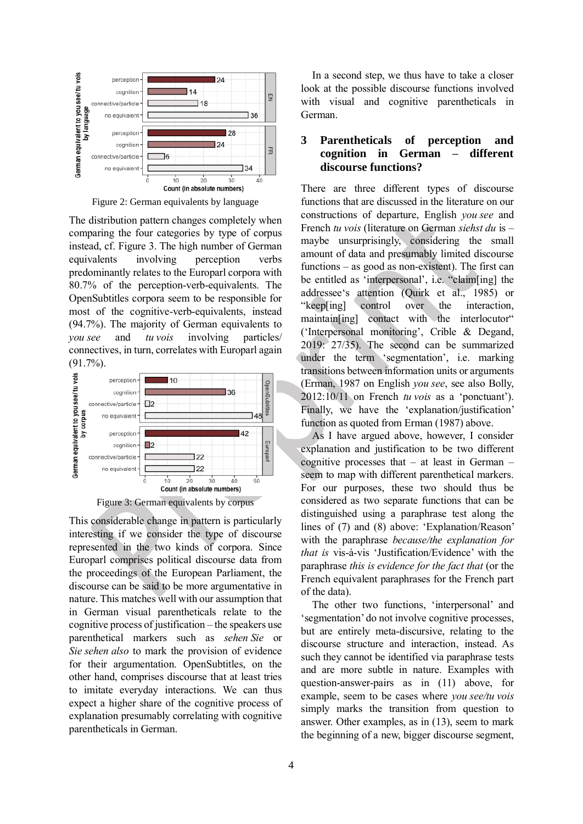

Figure 2: German equivalents by language

The distribution pattern changes completely when comparing the four categories by type of corpus instead, cf. [Figure 3.](#page-3-0) The high number of German equivalents involving perception verbs predominantly relates to the Europarl corpora with 80.7% of the perception-verb-equivalents. The OpenSubtitles corpora seem to be responsible for most of the cognitive-verb-equivalents, instead (94.7%). The majority of German equivalents to *you see* and *tu vois* involving particles/ connectives, in turn, correlates with Europarl again (91.7%).



Figure 3: German equivalents by corpus

<span id="page-3-0"></span>This considerable change in pattern is particularly interesting if we consider the type of discourse represented in the two kinds of corpora. Since Europarl comprises political discourse data from the proceedings of the European Parliament, the discourse can be said to be more argumentative in nature. This matches well with our assumption that in German visual parentheticals relate to the cognitive process of justification – the speakers use parenthetical markers such as *sehen Sie* or *Sie sehen also* to mark the provision of evidence for their argumentation. OpenSubtitles, on the other hand, comprises discourse that at least tries to imitate everyday interactions. We can thus expect a higher share of the cognitive process of explanation presumably correlating with cognitive parentheticals in German.

In a second step, we thus have to take a closer look at the possible discourse functions involved with visual and cognitive parentheticals in German.

### **3 Parentheticals of perception and cognition in German – different discourse functions?**

There are three different types of discourse functions that are discussed in the literature on our constructions of departure, English *you see* and French *tu vois* (literature on German *siehst du* is – maybe unsurprisingly, considering the small amount of data and presumably limited discourse functions – as good as non-existent). The first can be entitled as 'interpersonal', i.e. "claim[ing] the addressee's attention (Quirk et al., 1985) or "keep[ing] control over the interaction, maintain[ing] contact with the interlocutor" ('Interpersonal monitoring', Crible & Degand, 2019: 27/35). The second can be summarized under the term 'segmentation', i.e. marking transitions between information units or arguments (Erman, 1987 on English *you see*, see also Bolly, 2012:10/11 on French *tu vois* as a 'ponctuant'). Finally, we have the 'explanation/justification' function as quoted from Erman (1987) above.

As I have argued above, however, I consider explanation and justification to be two different cognitive processes that – at least in German – seem to map with different parenthetical markers. For our purposes, these two should thus be considered as two separate functions that can be distinguished using a paraphrase test along the lines of (7) and (8) above: 'Explanation/Reason' with the paraphrase *because/the explanation for that is* vis-à-vis 'Justification/Evidence' with the paraphrase *this is evidence for the fact that* (or the French equivalent paraphrases for the French part of the data).

The other two functions, 'interpersonal' and 'segmentation' do not involve cognitive processes, but are entirely meta-discursive, relating to the discourse structure and interaction, instead. As such they cannot be identified via paraphrase tests and are more subtle in nature. Examples with question-answer-pairs as in [\(11\)](#page-2-3) above, for example, seem to be cases where *you see/tu vois* simply marks the transition from question to answer. Other examples, as in (13), seem to mark the beginning of a new, bigger discourse segment,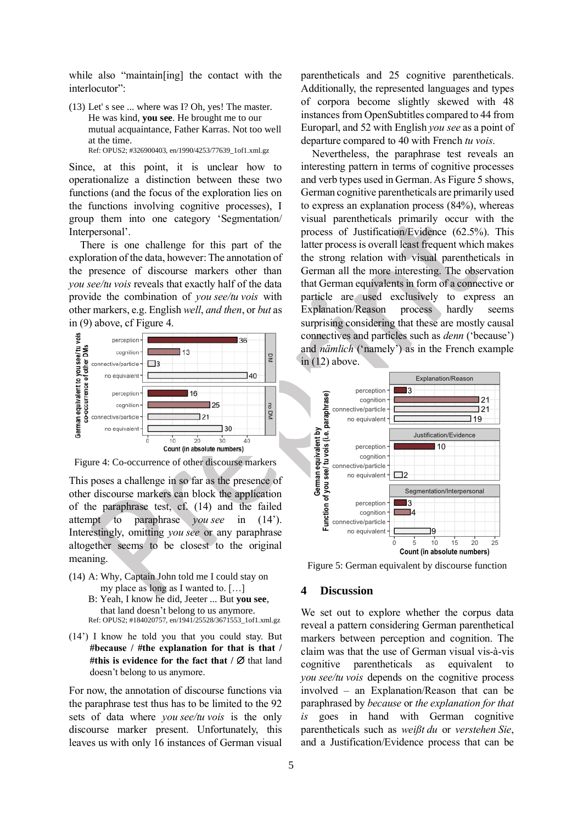while also "maintain[ing] the contact with the interlocutor":

(13) Let' s see ... where was I? Oh, yes! The master. He was kind, **you see**. He brought me to our mutual acquaintance, Father Karras. Not too well at the time. Ref: OPUS2; #326900403, en/1990/4253/77639\_1of1.xml.gz

Since, at this point, it is unclear how to operationalize a distinction between these two functions (and the focus of the exploration lies on the functions involving cognitive processes), I group them into one category 'Segmentation/ Interpersonal'.

There is one challenge for this part of the exploration of the data, however: The annotation of the presence of discourse markers other than *you see/tu vois* reveals that exactly half of the data provide the combination of *you see/tu vois* with other markers, e.g. English *well*, *and then*, or *but* as i[n \(9\)](#page-2-0) above, cf [Figure 4.](#page-4-0)



<span id="page-4-0"></span>Figure 4: Co-occurrence of other discourse markers

This poses a challenge in so far as the presence of other discourse markers can block the application of the paraphrase test, cf. (14) and the failed attempt to paraphrase *you* see in (14'). Interestingly, omitting *you see* or any paraphrase altogether seems to be closest to the original meaning.

- (14) A: Why, Captain John told me I could stay on my place as long as I wanted to. […]
	- B: Yeah, I know he did, Jeeter ... But **you see**, that land doesn't belong to us anymore. Ref: OPUS2; #184020757, en/1941/25528/3671553\_1of1.xml.gz
- (14') I know he told you that you could stay. But **#because / #the explanation for that is that / #this is evidence for the fact that**  $\alpha$  **/**  $\varnothing$  **that land** doesn't belong to us anymore.

For now, the annotation of discourse functions via the paraphrase test thus has to be limited to the 92 sets of data where *you see/tu vois* is the only discourse marker present. Unfortunately, this leaves us with only 16 instances of German visual

parentheticals and 25 cognitive parentheticals. Additionally, the represented languages and types of corpora become slightly skewed with 48 instances from OpenSubtitles compared to 44 from Europarl, and 52 with English *you see* as a point of departure compared to 40 with French *tu vois*.

Nevertheless, the paraphrase test reveals an interesting pattern in terms of cognitive processes and verb types used in German. A[s Figure 5](#page-4-1) shows, German cognitive parentheticals are primarily used to express an explanation process (84%), whereas visual parentheticals primarily occur with the process of Justification/Evidence (62.5%). This latter process is overall least frequent which makes the strong relation with visual parentheticals in German all the more interesting. The observation that German equivalents in form of a connective or particle are used exclusively to express an Explanation/Reason process hardly seems surprising considering that these are mostly causal connectives and particles such as *denn* ('because') and *nämlich* ('namely') as in the French example in  $(12)$  above.



<span id="page-4-1"></span>Figure 5: German equivalent by discourse function

### **4 Discussion**

We set out to explore whether the corpus data reveal a pattern considering German parenthetical markers between perception and cognition. The claim was that the use of German visual vis-à-vis cognitive parentheticals as equivalent *you see/tu vois* depends on the cognitive process involved – an Explanation/Reason that can be paraphrased by *because* or *the explanation for that is* goes in hand with German cognitive parentheticals such as *weißt du* or *verstehen Sie*, and a Justification/Evidence process that can be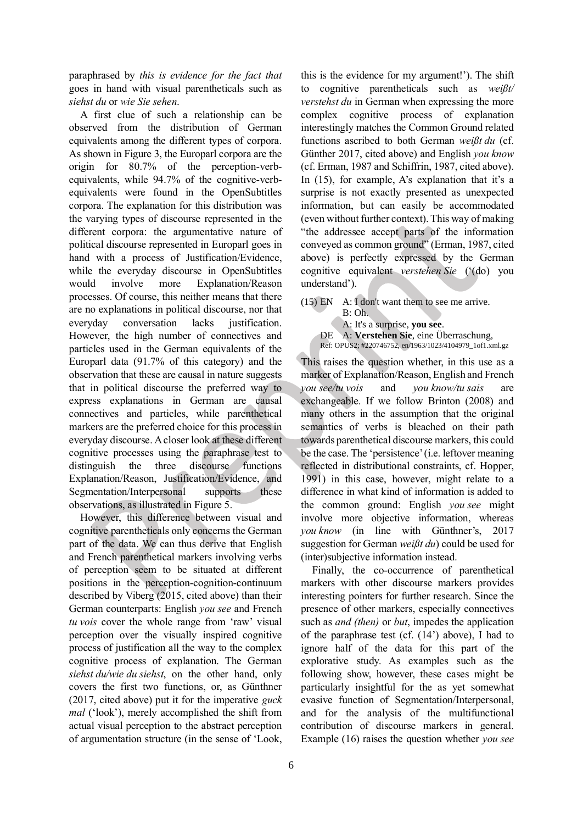paraphrased by *this is evidence for the fact that* goes in hand with visual parentheticals such as *siehst du* or *wie Sie sehen*.

A first clue of such a relationship can be observed from the distribution of German equivalents among the different types of corpora. As shown i[n Figure 3,](#page-3-0) the Europarl corpora are the origin for 80.7% of the perception-verbequivalents, while 94.7% of the cognitive-verbequivalents were found in the OpenSubtitles corpora. The explanation for this distribution was the varying types of discourse represented in the different corpora: the argumentative nature of political discourse represented in Europarl goes in hand with a process of Justification/Evidence, while the everyday discourse in OpenSubtitles would involve more Explanation/Reason processes. Of course, this neither means that there are no explanations in political discourse, nor that everyday conversation lacks justification. However, the high number of connectives and particles used in the German equivalents of the Europarl data (91.7% of this category) and the observation that these are causal in nature suggests that in political discourse the preferred way to express explanations in German are causal connectives and particles, while parenthetical markers are the preferred choice for this process in everyday discourse. A closer look at these different cognitive processes using the paraphrase test to distinguish the three discourse functions Explanation/Reason, Justification/Evidence, and Segmentation/Interpersonal supports these observations, as illustrated i[n Figure 5.](#page-4-1)

However, this difference between visual and cognitive parentheticals only concerns the German part of the data. We can thus derive that English and French parenthetical markers involving verbs of perception seem to be situated at different positions in the perception-cognition-continuum described by Viberg (2015, cited above) than their German counterparts: English *you see* and French *tu vois* cover the whole range from 'raw' visual perception over the visually inspired cognitive process of justification all the way to the complex cognitive process of explanation. The German *siehst du/wie du siehst*, on the other hand, only covers the first two functions, or, as Günthner (2017, cited above) put it for the imperative *guck mal* ('look'), merely accomplished the shift from actual visual perception to the abstract perception of argumentation structure (in the sense of 'Look,

this is the evidence for my argument!'). The shift to cognitive parentheticals such as *weißt/ verstehst du* in German when expressing the more complex cognitive process of explanation interestingly matches the Common Ground related functions ascribed to both German *weißt du* (cf. Günther 2017, cited above) and English *you know* (cf. Erman, 1987 and Schiffrin, 1987, cited above). In (15), for example, A's explanation that it's a surprise is not exactly presented as unexpected information, but can easily be accommodated (even without further context). This way of making "the addressee accept parts of the information conveyed as common ground" (Erman, 1987, cited above) is perfectly expressed by the German cognitive equivalent *verstehen Sie* ('(do) you understand').

(15) EN A: I don't want them to see me arrive. B: Oh. A: It's a surprise, **you see**.

DE A: **Verstehen Sie**, eine Überraschung, Ref: OPUS2; #220746752, en/1963/1023/4104979\_1of1.xml.gz

This raises the question whether, in this use as a marker of Explanation/Reason, English and French *you see/tu vois* and *you know/tu sais* are exchangeable. If we follow Brinton (2008) and many others in the assumption that the original semantics of verbs is bleached on their path towards parenthetical discourse markers, this could be the case. The 'persistence' (i.e. leftover meaning reflected in distributional constraints, cf. Hopper, 1991) in this case, however, might relate to a difference in what kind of information is added to the common ground: English *you see* might involve more objective information, whereas *you know* (in line with Günthner's, 2017 suggestion for German *weißt du*) could be used for (inter)subjective information instead.

Finally, the co-occurrence of parenthetical markers with other discourse markers provides interesting pointers for further research. Since the presence of other markers, especially connectives such as *and (then)* or *but*, impedes the application of the paraphrase test (cf. (14') above), I had to ignore half of the data for this part of the explorative study. As examples such as the following show, however, these cases might be particularly insightful for the as yet somewhat evasive function of Segmentation/Interpersonal, and for the analysis of the multifunctional contribution of discourse markers in general. Example (16) raises the question whether *you see*